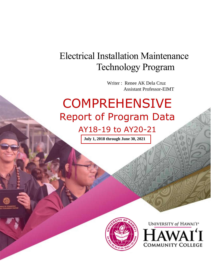## Electrical Installation Maintenance Technology Program

 Writer : Renee AK Dela Cruz Assistant Professor-EIMT

# **COMPREHENSIVE** Report of Program Data

AY18-19 to AY20-21

**July 1, 2018 through June 30, 2021**



UNIVERSITY of HAWAI'I\* **COMMUNITY COLLEGE**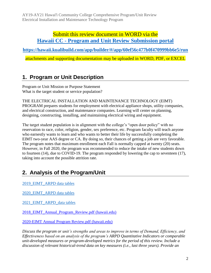### Submit this review document in WORD via the **Hawaii CC - Program and [Unit Review Submission portal](https://hawaii.kualibuild.com/app/builder/#/app/60ef56c477b0f470999bb6e5/run)**

**<https://hawaii.kualibuild.com/app/builder/#/app/60ef56c477b0f470999bb6e5/run>**

attachments and supporting documentation may be uploaded in WORD, PDF, or EXCEL

## **1. Program or Unit Description**

Program or Unit Mission or Purpose Statement What is the target student or service population?

THE ELECTRICAL INSTALLATION AND MAINTENANCE TECHNOLOGY (EIMT) PROGRAM prepares students for employment with electrical appliance shops, utility companies, and electrical construction, and maintenance companies. Learning will center on planning, designing, constructing, installing, and maintaining electrical wiring and equipment.

The target student population is in alignment with the college's "open door policy" with no reservation to race, color, religion, gender, sex preference, etc. Program faculty will teach anyone who earnestly wants to learn and who wants to better their life by successfully completing the EIMT two-year AAS degree or CA. By doing so, their chances of getting a job are very favorable. The program notes that maximum enrollment each Fall is normally capped at twenty (20) seats. However, in Fall 2020, the program was recommended to reduce the intake of new students down to fourteen (14), due to COVID-19. The program responded by lowering the cap to seventeen (17), taking into account the possible attrition rate.

## **2. Analysis of the Program/Unit**

[2019\\_EIMT\\_ARPD data tables](https://uhcc.hawaii.edu/varpd/index.php?y=2019&c=HAW&t=CTE&p=1856)

[2020\\_EIMT\\_ARPD data tables](https://uhcc.hawaii.edu/varpd/index.php?y=2020&c=HAW&t=CTE&p=2092)

[2021\\_EIMT\\_ARPD\\_data tables](https://uhcc.hawaii.edu/varpd/index.php?y=2021&c=HAW&t=CTE&p=2320)

[2018\\_EIMT\\_Annual\\_Program\\_Review.pdf \(hawaii.edu\)](https://hawaii.hawaii.edu/files/program-unit-review/docs/2018_EIMT_Annual_Program_Review.pdf)

[2020-EIMT Annual Program Review.pdf \(hawaii.edu\)](https://hawaii.hawaii.edu/files/program-unit-review/docs/2020-eimt-apr.pdf)

*Discuss the program or unit's strengths and areas to improve in terms of Demand, Efficiency, and Effectiveness based on an analysis of the program's ARPD Quantitative Indicators or comparable unit-developed measures or program-developed metrics for the period of this review. Include a discussion of relevant historical-trend data on key measures (i.e., last three years). Provide an*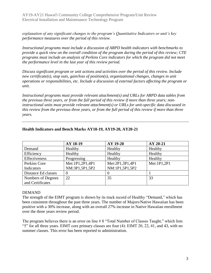*explanation of any significant changes to the program's Quantitative Indicators or unit's key performance measures over the period of this review.*

*Instructional programs must include a discussion of ARPD health indicators with benchmarks to provide a quick view on the overall condition of the program during the period of this review; CTE programs must include an analysis of Perkins Core indicators for which the program did not meet the performance level in the last year of this review period.*

*Discuss significant program or unit actions and activities over the period of this review. Include new certificate(s), stop outs, gain/loss of position(s), organizational changes, changes in unit operations or responsibilities, etc. Include a discussion of external factors affecting the program or unit.*

*Instructional programs must provide relevant attachment(s) and URLs for ARPD data tables from the previous three years, or from the full period of this review if more than three years; noninstructional units must provide relevant attachment(s) or URLs for unit-specific data discussed in this review from the previous three years, or from the full period of this review if more than three years.* 

|                     | AY 18-19        | AY 19-20        | AY 20-21    |
|---------------------|-----------------|-----------------|-------------|
| Demand              | Healthy         | Healthy         | Healthy     |
| Efficiency          | Healthy         | Healthy         | Healthy     |
| Effectiveness       | Progressing     | Healthy         | Healthy     |
| Perkins Core        | Met:1P1,2P1,4P1 | Met:2P1,3P1,4P1 | Met:1P1,2P1 |
| Indicators          | NM:3P1,5P1,5P2  | NM:1P1,5P1,5P2  |             |
| Distance Ed classes | 0               |                 |             |
| Numbers of Degrees  | 22              | 35              | 33          |
| and Certificates    |                 |                 |             |

#### **Health Indicators and Bench Marks AY18-19, AY19-20, AY20-21**

#### DEMAND

The strength of the EIMT program is shown by its track record of Healthy "Demand," which has been consistent throughout the past three years. The number of Majors/Native Hawaiian has been positive with a 30% increase, along with an overall 27% increase in Native Hawaiian enrollment over the three years review period.

The program believes there is an error on line # 8 "Total Number of Classes Taught," which lists "5" for all three years. EIMT core primary classes are four (4): EIMT 20, 22, 41, and 43, with no summer classes. This error has been reported to administration.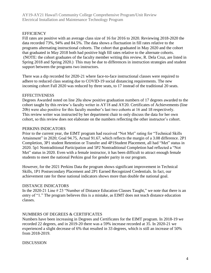#### **EFFICIENCY**

Fill rates are positive with an average class size of 16 for 2016 to 2020. Reviewing 2018-2020 the data recorded 73%, 94% and 84.5%. The data shows a fluctuation in fill rates relative to the programs alternating instructional cohorts. The cohort that graduated in May 2020 and the cohort that graduated in May 2018 both had positive high fill rates relative to the alternate cohorts. (NOTE: the cohort graduates of the faculty member writing this review, R. Dela Cruz, are listed in Spring 2018 and Spring 2020.) This may be due to differences in instruction strategies and student support between the programs two instructors.

There was a dip recorded for 2020-21 where face-to-face instructional classes were required to adhere to reduced class seating due to COVID-19 social distancing requirements. The new incoming cohort Fall 2020 was reduced by three seats, to 17 instead of the traditional 20 seats.

#### **EFFECTIVENESS**

Degrees Awarded noted on line 20a show positive graduation numbers of 17 degrees awarded to the cohort taught by this review's faculty writer in AY18 and AY20. Certificates of Achievements (line 20b) were also positive for this faculty member's last two cohorts at 16 and 18 respectively. This review writer was instructed by her department chair to only discuss the data for her own cohort, so this review does not elaborate on the numbers reflecting the other instructor's cohort.

#### PERKINS INDICATORS

Prior to the current year, the EIMT program had received "Not Met" rating for "Technical Skills Attainment" in 2020; Goal 94.75, Actual 91.67, which reflects the margin of a 3.08 difference. 2P1 Completion, 3P1 student Retention or Transfer and 4P1Student Placement, all had "Met" status in 2020. 5p1 Nontraditional Participation and 5P2 Nontraditional Completion had reflected a "Not Met" status in 2020. Even with a female instructor, it has been difficult to attract enough female students to meet the national Perkins goal for gender parity in our program.

However, for the 2021 Perkins Data the program shows significant improvement in Technical Skills, 1P1 Postsecondary Placement and 2P1 Earned Recognized Credentials. In fact, our achievement rate for these national indicators shows more than double the national goal.

#### DISTANCE INDICATORS

In the 2020-21 Line # 23 "Number of Distance Education Classes Taught," we note that there is an entry of "1." The program believes this is a mistake, as EIMT does not teach distance education classes.

#### NUMBERS OF DEGREES & CERTIFICATES

Numbers have been increasing in Degrees and Certificates for the EIMT program. In 2018-19 we recorded 22 degrees, and in 2019-20 there was a 59% increase recorded at 35. In 2020-21 we experienced a slight decrease of 6% that resulted in 33 degrees, which is still an increase of 50% from 2018-2019.

#### DISCUSSION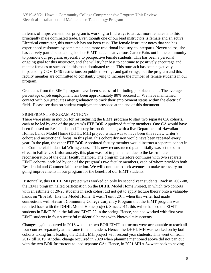In terms of improvement, our program is working to find ways to attract more females into this principally male dominated trade. Even though one of our lead instructors is female and an active Electrical contractor, this outreach has not been easy. The female instructor notes that she has experienced resistance by some male and more traditional industry counterparts. Nevertheless, she has actively participated alongside her EIMT students at various Career Fairs out in the community to promote our program, especially to prospective female students. This has been a personal ongoing goal for this instructor, and she will try her best to continue to positively encourage and mentor females to succeed in this male dominated trade. This outreach has been negatively impacted by COVID-19 restrictions on public meetings and gatherings, but the program and this faculty member are committed to constantly trying to increase the number of female students in our program.

Graduates from the EIMT program have been successful in finding job placements. The average percentage of job employment has been approximately 80% successful. We have maintained contact with our graduates after graduation to track their employment status within the electrical field. Please see data on student employment provided at the end of this document.

#### SIGNIFICANT PROGRAM ACTIONS

There were plans in motion for restructuring the EIMT program to start two separate CA cohorts, each to be led by one of the program's FTE BOR Appointed faculty members. One CA would have been focused on Residential and Theory instruction along with a live Department of Hawaiian Homes Lands Model Home (DHHL MH) project, which was to have been this review writer's cohort and instructional focus. In this plan, this cohort division would have been repeated every year. In the plan, the other FTE BOR Appointed faculty member would instruct a separate cohort in the Commercial-Industrial Wiring course. This new reconstructed plan initially was set to be in effect in Fall 2020. Unfortunately, this plan was not implemented due to the last-minute reconsideration of the other faculty member. The program therefore continues with two separate EIMT cohorts, each led by one of the program's two faculty members, each of whom provides both Residential and Commercial instruction. We will continue to seek avenues to make necessary ongoing improvements in our program for the benefit of our EIMT students.

Historically, this DHHL MH project was worked on only by second year students. Back in 2007-08, the EIMT program halted participation on the DHHL Model Home Project, in which two cohorts with an estimate of 20-25 students in each cohort did not get to apply lecture theory onto a valuablehands on "live lab" like the Model Home. It wasn't until 2011 when this writer had made connections with Hawai'i Community College Carpentry Program that the EIMT program was reunited back with the DHHL Model Home project. Since 2011, this writer has led the EIMT students in EIMT 20 in the fall and EIMT 22 in the spring. Hence, she had worked with first year EIMT students in four successful residential homes with Photovoltaic systems.

Changes again occurred in 2016 when the two BOR EIMT instructors were accountable to teach all four courses separately at the same time in tandem. Hence, the DHHL MH was worked on by both cohorts taking turns leading the DHHL MH project with second year students. This went on from 2017 till 2019. Another change occurred in 2020 when planning mentioned above did not pan out with the two BOR Instructors to lead separate CAs. Hence, in 2021 MH # 54 went back to having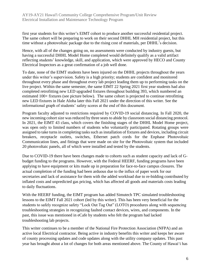first year students for this writer's EIMT cohort to produce another successful residential project. The same cohort will be preparing to work on their second DHHL MH residential project, but this time without a photovoltaic package due to the rising cost of materials, per DHHL's decision.

Hence, with all of the changes going on, no assessments were conducted by industry guests, but having a successful DHHL Model Home completed would definitely qualify as a valid artifact reflecting students' knowledge, skill, and application, which were approved by HECO and County Electrical Inspectors as a great confirmation of a job well done.

To date, none of the EIMT students have been injured on the DHHL projects throughout the years under this writer's supervision. Safety is a high priority; students are confident and monitored throughout every phase and throughout every lab project leading them up to performing tasks on the live project. Within the same semester, the same EIMT 22 Spring 2021 first year students had also completed retrofitting new LED upgraded fixtures throughout building 393, which numbered an estimated 100+ fixtures (see picture below). The same cohort is projected to continue retrofitting new LED fixtures in Hale Aloha later this Fall 2021 under the direction of this writer. See the informational graph of students' safety scores at the end of this document.

Program faculty adjusted to restrictions required by COVID-19 social distancing. In Fall 2020, the new incoming cohort size was reduced by three seats to abide by classroom social distancing protocol. In 2021, the EIMT 43 class, which covers the finishing stages of the DHHL Model Home project, was open only to limited numbers of students who voluntarily participated. Rotating groups were assigned to take turns in completing tasks such as installation of fixtures and devices, including circuit breakers, receptacle outlets, switches, Ethernet patch cords for the Enphase Photovoltaic Communication lines, and fittings that were made on site for the Photovoltaic system that included 20 photovoltaic panels, all of which were installed and tested by the students.

Due to COVID-19 there have been changes made to cohorts such as student capacity and lack of Gbudget funding to the programs. However, with the Federal HEERF, funding programs have been applying to have equipment or kits made up in preparation for face-to-face campus closures. The actual completion of the funding had been arduous due to the influx of paper work for our secretaries and lack of assistance for them with the added workload due to re-bidding contributed by inflated costs and unpredicted gas pricing, which has affected all goods and materials costs leading to daily fluctuations.

With the HEERF funding, the EIMT program has added Simutech TPC simulated troubleshooting lessons to the EIMT Fall 2021 cohort (led by this writer). This has been very beneficial for the students to safely recognize safety "Lock Out Tag Out" (LOTO) procedures along with sequencing troubleshooting strategies in recognizing faulted contact devices, wires, and components. In the past, this issue was mentioned in eCafe by students who felt the program had lacked troubleshooting lab projects.

This writer continues to be a member of the National Fire Protection Association (NFPA) and an active local Electrical contractor. Being active in industry benefits this writer and keeps her aware of county processing updates and code updates along with the utility company updates. This past year has brought about a lot of changes for both areas mentioned above. The County of Hawai'i has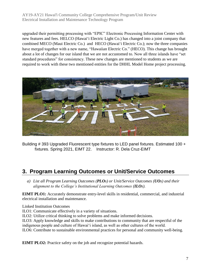upgraded their permitting processing with "EPIC" Electronic Processing Information Center with new features and fees. HELCO (Hawai'i Electric Light Co.) has changed into a joint company that combined MECO (Maui Electric Co.) and HECO (Hawai'i Electric Co.); now the three companies have merged together with a new name, "Hawaiian Electric Co." (HECO). This change has brought about a lot of changes for our island that we are not accustomed to. Now all three islands have "set standard procedures" for consistency. These new changes are mentioned to students as we are required to work with these two mentioned entities for the DHHL Model Home project processing.



Building # 393 Upgraded Fluorescent type fixtures to LED panel fixtures. Estimated 100 + fixtures. Spring 2021, EIMT 22. Instructor: R. Dela Cruz-EIMT

## **3. Program Learning Outcomes or Unit/Service Outcomes**

*a) List all Program Learning Outcomes (PLOs) or Unit/Service Outcomes (UOs) and their alignment to the College's Institutional Learning Outcomes (ILOs).*

**EIMT PLO1:** Accurately demonstrate entry-level skills in residential, commercial, and industrial electrical installation and maintenance.

Linked Institution Outcomes

ILO1: Communicate effectively in a variety of situations.

ILO2: Utilize critical thinking to solve problems and make informed decisions.

ILO3: Apply knowledge and skills to make contributions to community that are respectful of the indigenous people and culture of Hawai'i island, as well as other cultures of the world.

ILO6: Contribute to sustainable environmental practices for personal and community well-being.

**EIMT PLO2:** Practice safety on the job and recognize potential hazards.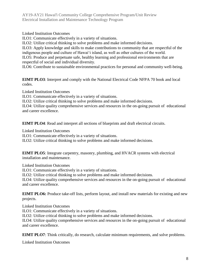Linked Institution Outcomes

ILO1: Communicate effectively in a variety of situations.

ILO2: Utilize critical thinking to solve problems and make informed decisions.

ILO3: Apply knowledge and skills to make contributions to community that are respectful of the indigenous people and culture of Hawai'i island, as well as other cultures of the world. ILO5: Produce and perpetuate safe, healthy learning and professional environments that are

respectful of social and individual diversity.

ILO6: Contribute to sustainable environmental practices for personal and community well-being.

**EIMT PLO3**: Interpret and comply with the National Electrical Code NFPA 70 book and local codes.

Linked Institution Outcomes

ILO1: Communicate effectively in a variety of situations.

ILO2: Utilize critical thinking to solve problems and make informed decisions.

ILO4: Utilize quality comprehensive services and resources in the on-going pursuit of educational and career excellence.

**EIMT PLO4**: Read and interpret all sections of blueprints and draft electrical circuits.

Linked Institution Outcomes

ILO1: Communicate effectively in a variety of situations.

ILO2: Utilize critical thinking to solve problems and make informed decisions.

**EIMT PLO5**: Integrate carpentry, masonry, plumbing, and HVACR systems with electrical installation and maintenance.

Linked Institution Outcomes

ILO1: Communicate effectively in a variety of situations.

ILO2: Utilize critical thinking to solve problems and make informed decisions.

ILO4: Utilize quality comprehensive services and resources in the on-going pursuit of educational and career excellence.

**EIMT PLO6:** Produce take-off lists, perform layout, and install new materials for existing and new projects.

Linked Institution Outcomes

ILO1: Communicate effectively in a variety of situations.

ILO2: Utilize critical thinking to solve problems and make informed decisions.

ILO4: Utilize quality comprehensive services and resources in the on-going pursuit of educational and career excellence.

**EIMT PLO7**: Think critically, do research, calculate minimum requirements, and solve problems.

Linked Institution Outcomes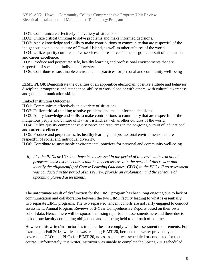ILO1: Communicate effectively in a variety of situations.

ILO2: Utilize critical thinking to solve problems and make informed decisions.

ILO3: Apply knowledge and skills to make contributions to community that are respectful of the indigenous people and culture of Hawai'i island, as well as other cultures of the world.

ILO4: Utilize quality comprehensive services and resources in the on-going pursuit of educational and career excellence.

ILO5: Produce and perpetuate safe, healthy learning and professional environments that are respectful of social and individual diversity.

ILO6: Contribute to sustainable environmental practices for personal and community well-being

**EIMT PLO8**: Demonstrate the qualities of an apprentice electrician: positive attitude and behavior, discipline, promptness and attendance, ability to work alone or with others, with cultural awareness, and good communication skills.

Linked Institution Outcomes

ILO1: Communicate effectively in a variety of situations.

ILO2: Utilize critical thinking to solve problems and make informed decisions.

ILO3: Apply knowledge and skills to make contributions to community that are respectful of the indigenous people and culture of Hawai'i island, as well as other cultures of the world.

ILO4: Utilize quality comprehensive services and resources in the on-going pursuit of educational and career excellence.

ILO5: Produce and perpetuate safe, healthy learning and professional environments that are respectful of social and individual diversity.

ILO6: Contribute to sustainable environmental practices for personal and community well-being.

*b) List the PLOs or UOs that have been assessed in the period of this review. Instructional programs must list the courses that have been assessed in the period of this review and identify the alignment(s) of Course Learning Outcomes (CLOs) to the PLOs. If no assessment was conducted in the period of this review, provide an explanation and the schedule of upcoming planned assessments.*

The unfortunate result of dysfunction for the EIMT program has been long ongoing due to lack of communication and collaboration between the two EIMT faculty leading to what is essentially two separate EIMT programs. The two separated tandem cohorts are not fairly engaged to conduct assessment, Annual Program Reviews or 3-Year Comprehensive Reports based on their own cohort data. Hence, there will be sporadic missing reports and assessments here and there due to lack of one faculty completing obligations and not being held to our oath of contract.

However, this writer/instructor has tried her best to comply with the assessment requirements. For example, in Fall 2018, while she was teaching EIMT 20, because this writer previously had covered all CLOs and PLOs for EIMT 20, no assessment was scheduled or conducted for that course. Unfortunately, this writer/instructor was unable to complete the Spring 2019 scheduled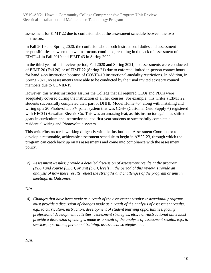assessment for EIMT 22 due to confusion about the assessment schedule between the two instructors.

In Fall 2019 and Spring 2020, the confusion about both instructional duties and assessment responsibilities between the two instructors continued, resulting in the lack of assessment of EIMT 41 in Fall 2019 and EIMT 43 in Spring 2020.

In the third year of this review period, Fall 2020 and Spring 2021, no assessments were conducted of EIMT 20 (Fall 20) or of EIMT 22 (Spring 21) due to enforced limited in-person contact hours for hand's-on instruction because of COVID-19 instructional-modality restrictions. In addition, in Spring 2021, no assessments were able to be conducted by the usual invited advisory council members due to COVID-19.

However, this writer/instructor assures the College that all required CLOs and PLOs were adequately covered during the instruction of all her courses. For example, this writer's EIMT 22 students successfully completed their part of DHHL Model Home #54 along with installing and wiring up a 20 Photovoltaic PV panel system that was CGS+ (Customer Grid Supply +) registered with HECO (Hawaiian Electric Co. This was an amazing feat, as this instructor again has shifted gears in curriculum and instruction to lead first year students to successfully complete a residential wiring and Photovoltaic system.

This writer/instructor is working diligently with the Institutional Assessment Coordinator to develop a reasonable, achievable assessment schedule to begin in AY22-23, through which the program can catch back up on its assessments and come into compliance with the assessment policy.

*c) Assessment Results: provide a detailed discussion of assessment results at the program (PLO) and course (CLO), or unit (UO), levels in the period of this review. Provide an analysis of how these results reflect the strengths and challenges of the program or unit in meetings its Outcomes.*

#### N/A

*d) Changes that have been made as a result of the assessment results: instructional programs must provide a discussion of changes made as a result of the analysis of assessment results, e.g., to curriculum, instruction, development of student learning opportunities, faculty professional development activities, assessment strategies, etc.; non-instructional units must provide a discussion of changes made as a result of the analysis of assessment results, e.g., to services, operations, personnel training, assessment strategies, etc.*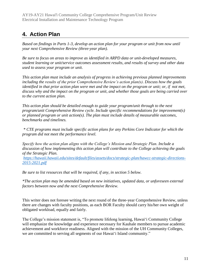## **4. Action Plan**

*Based on findings in Parts 1-3, develop an action plan for your program or unit from now until your next Comprehensive Review (three-year plan).* 

*Be sure to focus on areas to improve as identified in ARPD data or unit-developed measures, student learning or unit/service outcomes assessment results, and results of survey and other data used to assess your program or unit.* 

*This action plan must include an analysis of progress in achieving previous planned improvements including the results of the prior Comprehensive Review's action plan(s). Discuss how the goals identified in that prior action plan were met and the impact on the program or unit; or, if not met, discuss why and the impact on the program or unit, and whether those goals are being carried over to the current action plan.*

*This action plan should be detailed enough to guide your program/unit through to the next program/unit Comprehensive Review cycle. Include specific recommendations for improvement(s) or planned program or unit action(s). The plan must include details of measurable outcomes, benchmarks and timelines.* 

*\* CTE programs must include specific action plans for any Perkins Core Indicator for which the program did not meet the performance level.*

*Specify how the action plan aligns with the College's Mission and Strategic Plan. Include a discussion of how implementing this action plan will contribute to the College achieving the goals of the Strategic Plan.*

*[https://hawaii.hawaii.edu/sites/default/files/assets/docs/strategic-plan/hawcc-strategic-directions-](https://hawaii.hawaii.edu/sites/default/files/assets/docs/strategic-plan/hawcc-strategic-directions-2015-2021.pdf)[2015-2021.pdf](https://hawaii.hawaii.edu/sites/default/files/assets/docs/strategic-plan/hawcc-strategic-directions-2015-2021.pdf)*

*Be sure to list resources that will be required, if any, in section 5 below.*

*\*The action plan may be amended based on new initiatives, updated data, or unforeseen external factors between now and the next Comprehensive Review.*

This writer does not foresee writing the next round of the three-year Comprehensive Review, unless there are changes with faculty positions, as each BOR Faculty should carry his/her own weight of obligated workload, equally and fairly.

The College's mission statement is, "To promote lifelong learning, Hawai'i Community College will emphasize the knowledge and experience necessary for Kauhale members to pursue academic achievement and workforce readiness. Aligned with the mission of the UH Community Colleges, we are committed to serving all segments of our Hawai'i Island community."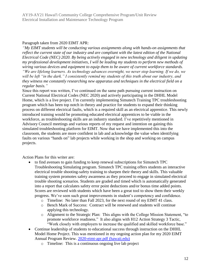#### Paragraph taken from 2020 EIMT APR:

*"My EIMT students will be conducting various assignments along with hands-on assignments that reflect the current state of our industry and are compliant with the latest edition of the National Electrical Code (NEC) 2020. By being actively engaged in new technology and diligent in updating my professional development initiatives, I will be leading my students to perform new methods of wiring various devices and equipment to equip them to be aware of current workforce standards. "We are lifelong learners. As technology advances overnight, we never stop learning. If we do, we will be left "in the dark." I consistently remind my students of this truth about our industry, and they witness me constantly researching new apparatus and techniques in the electrical field on a regular basis."*

Since this report was written, I've continued on the same path pursuing current instruction on Current National Electrical Codes (NEC 2020) and actively participating in the DHHL Model Home, which is a live project. I'm currently implementing Simutech Training TPC troubleshooting program which has been top notch in theory and practice for students to expand their thinking process on different electrical faults, which is a required skill as an electrical apprentice. This newly introduced training would be promoting educated electrical apprentices to be viable in the workforce, as troubleshooting skills are an industry standard. I've repetitively mentioned in Advisory Council meetings and various reports of my request and intention on gaining this simulated troubleshooting platform for EIMT. Now that we have implemented this into the classroom, the students are more confident in lab and acknowledge the value when identifying faults on various "hands on" lab projects while working in the shop and working on campus projects.

Action Plans for this writer are:

- to find avenues to gain funding to keep renewal subscriptions for Simutech TPC Troubleshooting Simulating program. Simutech TPC training offers students an interactive electrical trouble shooting-safety training to sharpen their theory and skills. This valuable training system promotes safety awareness as they proceed to engage in simulated electrical trouble shooting scenarios. Students are graded and timed which is automatically generated into a report that calculates safety error point deductions and/or bonus time added points. Scores are reviewed with students which have been a great tool to show them their weekly progress. We've seen such great improvements in student's competency and confidence.
	- o Timeline: No later than Fall 2023, for the next round of my EIMT 41 class.
	- o Bench Mark of Success: Contract will be renewed and students will continue applying this technology.
	- o Alignment to the Strategic Plan: This aligns with the College Mission Statement, "to promote workforce readiness." It also aligns with H12 Action Strategy 3 Tactic, "Work closely with employers to increase the qualified and skilled workforce base."
- Continue leadership of students to educational success through instruction on the DHHL Model Home Project. This was mentioned in my ongoing action plan for my 2020 EIMT Annual Program Review. [2020-eimt-apr.pdf \(hawaii.edu\)](https://hawaii.hawaii.edu/files/program-unit-review/docs/2020-eimt-apr.pdf)
	- o Timeline: This is a continuous ongoing live lab project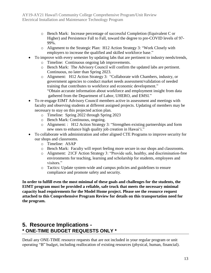- o Bench Mark: Increase percentage of successful Completion (Equivalent C or Higher) and Persistence Fall to Fall, toward the degree to pre-COVID levels of 97- 99%.
- o Alignment to the Strategic Plan: H12 Action Strategy 3: "Work Closely with employers to increase the qualified and skilled workforce base."
- To improve with every semester by updating labs that are pertinent to industry needs/trends,
	- o Timeline: Continuous ongoing lab improvements.
	- o Bench Mark: The Advisory Council will confirm the updated labs are pertinent. Continuous, no later than Spring 2023.
	- o Alignment: H12 Action Strategy 3: "Collaborate with Chambers, industry, or government agencies to conduct market needs assessment/validation of needed training that contributes to workforce and economic development." "Obtain accurate information about workforce and employment insight from data gathered from the Department of Labor, UHERO, and EMSI."
- To re-engage EIMT Advisory Council members active in assessment and meetings with faculty and observing students at different assigned projects. Updating of members may be necessary to stay on this projected action plan.
	- o Timeline: Spring 2022 through Spring 2023
	- o Bench Mark: Continuous, ongoing.
	- o Alignment: : H12 Action Strategy 3: "Strengthen existing partnerships and form new ones to enhance high quality job creation in Hawai'i."
- To collaborate with administration and other aligned CTE Programs to improve security for our shops and classrooms.
	- o Timeline: ASAP
	- o Bench Mark: Faculty will report feeling more secure in our shops and classrooms.
	- o Alignment: 21CF Action Strategy 3: "Provide safe, healthy, and discrimination-free environments for teaching, learning and scholarship for students, employees and visitors."
	- o Tactics: Update system-wide and campus policies and guidelines to ensure compliance and promote safety and security.

**In order to fulfill even the most minimal of these goals and challenges for the students, the EIMT program must be provided a reliable, safe truck that meets the necessary minimal capacity load requirements for the Model Home project. Please see the resource request attached to this Comprehensive Program Review for details on this transportation need for the program.**

## **5. Resource Implications - \* ONE-TIME BUDGET REQUESTS ONLY \***

Detail any ONE-TIME resource requests that are not included in your regular program or unit operating "B" budget, including reallocation of existing resources (physical, human, financial).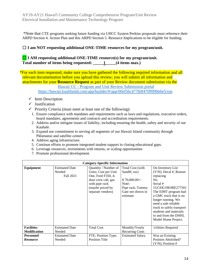\*Note that CTE programs seeking future funding via UHCC System Perkins proposals must reference their ARPD Section 4. Action Plan and this ARPD Section 5. Resource Implications to be eligible for funding.

#### □ **I** am NOT requesting additional ONE-TIME resources for my program/unit.

#### ☐ **I AM requesting additional ONE-TIME resource(s) for my program/unit. Total number of items being requested: \_\_\_\_\_1\_\_\_\_\_(4 items max.)**

\*For each item requested, make sure you have gathered the following required information and all relevant documentation before you upload this review; you will submit all information and attachments for your **Resource Request** as part of your Review document submission via the

#### Hawaii CC - Program and [Unit Review Submission portal](https://hawaii.kualibuild.com/app/builder/#/app/60ef56c477b0f470999bb6e5/run)

<https://hawaii.kualibuild.com/app/builder/#/app/60ef56c477b0f470999bb6e5/run>

- $\checkmark$  Item Description
- ✓ Justification
- $\checkmark$  Priority Criteria (must meet at least one of the following):
	- 1. Ensure compliance with mandates and requirements such as laws and regulations, executive orders, board mandates, agreements and contracts and accreditation requirements.
	- 2. Address and/or mitigate issues of liability, including ensuring the health, safety and security of our Kauhale.
	- 3. Expand our commitment to serving all segments of our Hawaii Island community through Pālamanui and satellite centers
	- 4. Address aging infrastructure.
	- 5. Continue efforts to promote integrated student support in closing educational gaps.
	- 6. Leverage resources, investments with returns, or scaling opportunities
	- 7. Promote professional development.

| <b>Category-Specific Information</b>     |                                              |                                                                                                                                                     |                                                                                                                 |                                                                                                                                                                                                                                                                                                           |  |
|------------------------------------------|----------------------------------------------|-----------------------------------------------------------------------------------------------------------------------------------------------------|-----------------------------------------------------------------------------------------------------------------|-----------------------------------------------------------------------------------------------------------------------------------------------------------------------------------------------------------------------------------------------------------------------------------------------------------|--|
| Equipment                                | <b>Estimated Date</b><br>Needed<br>Fall 2021 | Quantity / Number of<br>Units; Cost per Unit<br>One, Ford F350, 4-<br>door crew cab, gas<br>with pipe rack<br>(maybe priced by<br>separate vendors) | Total Cost (with<br>SandH, tax)<br>$$70,000.00+$<br>Note:<br>Pipe rack, Tommy<br>Gate not shown in<br>estimate. | On Inventory List<br>$(Y/N)$ ; Decal #, Reason<br>replacing<br>No.<br>Serial #<br>1GCEK19K9RE277501<br>The EIMT program had<br>a GMC truck that is no<br>longer running. We<br>need a safe reliable<br>truck to safely transport<br>students and materials<br>to and from the DHHL<br>Model Home Project. |  |
| <b>Facilities</b><br><b>Modification</b> | <b>Estimated Date</b><br>Needed              | <b>Total Cost</b>                                                                                                                                   | Monthly/Yearly<br><b>Recurring Costs</b>                                                                        | Utilities Required                                                                                                                                                                                                                                                                                        |  |
| <b>Personnel</b><br><b>Resource</b>      | <b>Estimated Date</b><br>Needed              | FTE; Position Type;<br><b>Position Title</b>                                                                                                        | <b>Estimated Salary</b>                                                                                         | Was an Existing<br>Position Abolished?<br>$(Y/N)$ ; Position #                                                                                                                                                                                                                                            |  |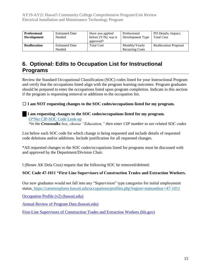| <b>Professional</b> | <b>Estimated Date</b> | Have you applied        | Professional           | PD Details; Impact;          |
|---------------------|-----------------------|-------------------------|------------------------|------------------------------|
| <b>Development</b>  | Needed                | before $(Y/N)$ ; was it | Development Type       | <b>Total Cost</b>            |
|                     |                       | approved?               |                        |                              |
| <b>Reallocation</b> | <b>Estimated Date</b> | <b>Total Cost</b>       | Monthly/Yearly         | <b>Reallocation Proposal</b> |
|                     | Needed                |                         | <b>Recurring Costs</b> |                              |

## **6. Optional: Edits to Occupation List for Instructional Programs**

Review the Standard Occupational Classification (SOC) codes listed for your Instructional Program and verify that the occupations listed align with the program learning outcomes. Program graduates should be prepared to enter the occupations listed upon program completion. Indicate in this section if the program is requesting removal or additions to the occupation list.

#### ☐ **I am NOT requesting changes to the SOC codes/occupations listed for my program.**

#### ☐ **I am requesting changes to the SOC codes/occupations listed for my program.** [O\\*Net CIP-SOC Code Look-up](http://www.onetonline.org/) *\*in the Crosswalks box, choose "Education," then enter CIP number to see related SOC codes*

List below each SOC code for which change is being requested and include details of requested code deletions and/or additions. Include justification for all requested changes.

\*All requested changes to the SOC codes/occupations listed for programs must be discussed with and approved by the Department/Division Chair.

I (Renee AK Dela Cruz) request that the following SOC be removed/deleted:

#### **SOC Code 47-1011 "First Line Supervisors of Construction Trades and Extraction Workers.**

Our new graduates would not fall into any "Supervision" type categories for initial employment statu[s. https://careerexplorer.hawaii.edu/occupations/profiles.php?region=stateandsoc=47-1011](file:///G:/Renee%20HawCC2%20021/.%20%20https:/careerexplorer.hawaii.edu/occupations/profiles.php%3fregion=state&soc=47-1011)

[Occupation Profile \(v2\) \(hawaii.edu\)](https://careerexplorer.hawaii.edu/occupations/profiles.php?region=state&soc=47-1011)

[Annual Review of Program Data \(hawaii.edu\)](https://uhcc.hawaii.edu/varpd/)

[First-Line Supervisors of Construction Trades and Extraction Workers \(bls.gov\)](https://www.bls.gov/oes/current/oes471011.htm)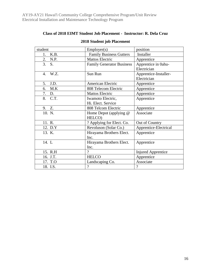#### **Class of 2018 EIMT Student Job Placement - Instructor: R. Dela Cruz**

| student    | Employer(s)                      | position                             |
|------------|----------------------------------|--------------------------------------|
| K.B.<br>1. | <b>Family Business Gutters</b>   | Installer                            |
| 2. N.P.    | <b>Mattos Electric</b>           | Apprentice                           |
| 3.<br>S.   | <b>Family Generator Business</b> | Apprentice in 0ahu-<br>Electrician   |
| 4. W.Z.    | Sun Run                          | Apprentice-Installer-<br>Electrician |
| J.D.<br>5. | American Electric                | Apprentice                           |
| 6. M.K     | 808 Telecom Electric             | Apprentice                           |
| 7. D.      | <b>Mattos Electric</b>           | Apprentice                           |
| 8. C.T.    | Iwamoto Electric,                | Apprentice                           |
|            | Hi. Elect. Service               |                                      |
| 9. Z.      | 808 Telcom Electric              | Apprentice                           |
| 10. N.     | Home Depot (applying @<br>HELCO) | Associate                            |
| 11. R.     | ? Applying for Elect. Co.        | Out of Country                       |
| 12. D.Y    | Revoluson (Solar Co.)            | Apprentice-Electrical                |
| 13. K.     | Hirayama Brothers Elect.<br>Inc. | Apprentice                           |
| 14. L      | Hirayama Brothers Elect.         | Apprentice                           |
|            | Inc.                             |                                      |
| 15. R.H    | $\gamma$                         | <b>Injured Apprentice</b>            |
| 16. J.T.   | <b>HELCO</b>                     | Apprentice                           |
| 17. T.O    | Landscaping Co.                  | Associate                            |
| 18. I.S.   | $\overline{?}$                   | $\overline{\mathcal{L}}$             |

#### **2018 Student job Placement**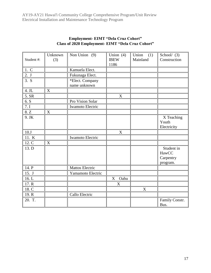|            | Unknown          | Non Union (9)          | Union $(4)$ | Union<br>(1) | School $(3)$   |
|------------|------------------|------------------------|-------------|--------------|----------------|
| Student #: | (3)              |                        | <b>IBEW</b> | Mainland     | Construction   |
|            |                  |                        | 1186        |              |                |
| 1. C       |                  | Kamuela Elect.         |             |              |                |
| 2. J       |                  | Fukunaga Elect.        |             |              |                |
| 3. S       |                  | *Elect. Company        |             |              |                |
|            |                  | name unknown           |             |              |                |
| 4. JL      | X                |                        |             |              |                |
| 5. SR      |                  |                        | X           |              |                |
| 6. S       |                  | Pro Vision Solar       |             |              |                |
| 7.1        |                  | Iwamoto Electric       |             |              |                |
| 8.Z        | X                |                        |             |              |                |
| 9. JK      |                  |                        |             |              | X Teaching     |
|            |                  |                        |             |              | Youth          |
|            |                  |                        |             |              | Electricity    |
| 10.J       |                  |                        | X           |              |                |
| 11. K      |                  | Iwamoto Electric       |             |              |                |
| 12. C      | $\boldsymbol{X}$ |                        |             |              |                |
| 13. D      |                  |                        |             |              | Student in     |
|            |                  |                        |             |              | HawCC          |
|            |                  |                        |             |              | Carpentry      |
|            |                  |                        |             |              | program.       |
| 14. P      |                  | <b>Mattos Electric</b> |             |              |                |
| 15. J      |                  | Yamamoto Electric      |             |              |                |
| 16.L       |                  |                        | Oahu<br>X   |              |                |
| 17. R      |                  |                        | $\mathbf X$ |              |                |
| 18. C      |                  |                        |             | $\mathbf X$  |                |
| 19. R      |                  | Callo Electric         |             |              |                |
| 20. T.     |                  |                        |             |              | Family Constr. |
|            |                  |                        |             |              | Bus.           |

#### **Employment- EIMT "Dela Cruz Cohort" Class of 2020 Employment- EIMT "Dela Cruz Cohort"**